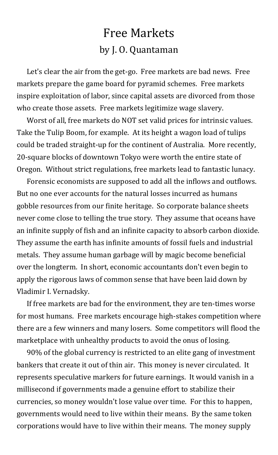## Free Markets by J. O. Quantaman

Let's clear the air from the get-go. Free markets are bad news. Free markets prepare the game board for pyramid schemes. Free markets inspire exploitation of labor, since capital assets are divorced from those who create those assets. Free markets legitimize wage slavery.

Worst of all, free markets do NOT set valid prices for intrinsic values. Take the Tulip Boom, for example. At its height a wagon load of tulips could be traded straight-up for the continent of Australia. More recently, 20-square blocks of downtown Tokyo were worth the entire state of Oregon. Without strict regulations, free markets lead to fantastic lunacy.

Forensic economists are supposed to add all the inflows and outflows. But no one ever accounts for the natural losses incurred as humans gobble resources from our finite heritage. So corporate balance sheets never come close to telling the true story. They assume that oceans have an infinite supply of fish and an infinite capacity to absorb carbon dioxide. They assume the earth has infinite amounts of fossil fuels and industrial metals. They assume human garbage will by magic become beneficial over the longterm. In short, economic accountants don't even begin to apply the rigorous laws of common sense that have been laid down by Vladimir I. Vernadsky.

If free markets are bad for the environment, they are ten-times worse for most humans. Free markets encourage high-stakes competition where there are a few winners and many losers. Some competitors will flood the marketplace with unhealthy products to avoid the onus of losing.

90% of the global currency is restricted to an elite gang of investment bankers that create it out of thin air. This money is never circulated. It represents speculative markers for future earnings. It would vanish in a millisecond if governments made a genuine effort to stabilize their currencies, so money wouldn't lose value over time. For this to happen, governments would need to live within their means. By the same token corporations would have to live within their means. The money supply